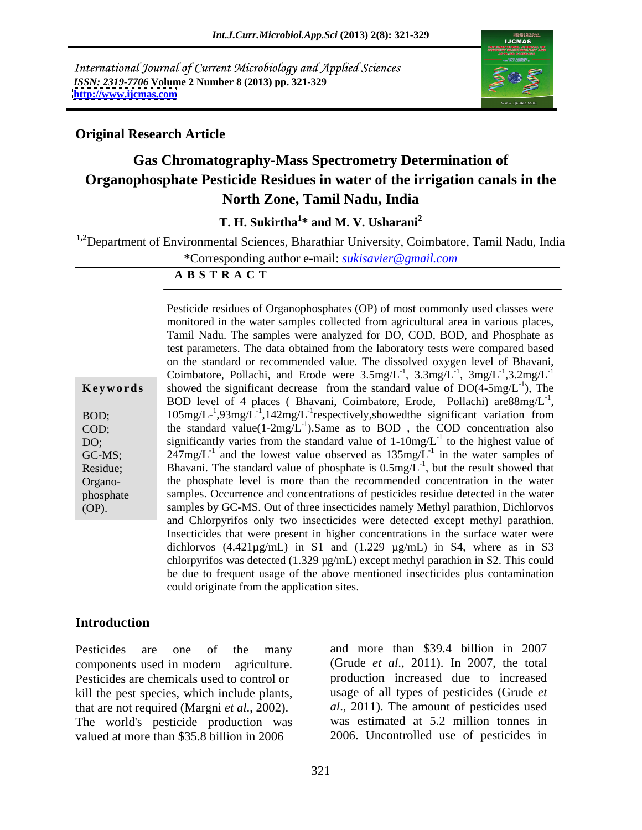International Journal of Current Microbiology and Applied Sciences *ISSN: 2319-7706* **Volume 2 Number 8 (2013) pp. 321-329 <http://www.ijcmas.com>**



### **Original Research Article**

# **Gas Chromatography-Mass Spectrometry Determination of Organophosphate Pesticide Residues in water of the irrigation canals in the North Zone, Tamil Nadu, India**

T. H. Sukirtha<sup>1\*</sup> and M. V. Usharani<sup>2</sup> **\* and M. V. Usharani<sup>2</sup>**

**1,2**Department of Environmental Sciences, Bharathiar University, Coimbatore, Tamil Nadu, India

**\***Corresponding author e-mail: *sukisavier@gmail.com*

**A B S T R A C T**

| Keyword                                              |
|------------------------------------------------------|
| BOD:<br>COD;<br>DO:<br>GC-MS;<br>Residue;<br>Organo- |
| phosphate<br>(OP).                                   |

**Keywords** showed the significant decrease from the standard value of  $DO(4-5mg/L^{-1})$ , The BOD; 105mg/L<sup>-1</sup>,93mg/L<sup>-1</sup>,142mg/L<sup>-1</sup>respectively,showed the significant variation from COD; the standard value $(1-2mg/L^{-1})$ . Same as to BOD, the COD concentration also DO; significantly varies from the standard value of  $1-10mg/L^{-1}$  to the highest value of GC-MS; 247mg/L<sup>-1</sup> and the lowest value observed as  $135 \text{mg/L}^{-1}$  in the water samples of Residue; Bhavani. The standard value of phosphate is  $0.5mg/L^{-1}$ , but the result showed that Organo- the phosphate level is more than the recommended concentration in the water phosphate samples. Occurrence and concentrations of pesticides residue detected in the water (OP). samples by GC-MS. Out of three insecticides namely Methyl parathion, Dichlorvos Pesticide residues of Organophosphates (OP) of most commonly used classes were monitored in the water samples collected from agricultural area in various places, Tamil Nadu. The samples were analyzed for DO, COD, BOD, and Phosphate as test parameters. The data obtained from the laboratory tests were compared based on the standard or recommended value. The dissolved oxygen level of Bhavani, Coimbatore, Pollachi, and Erode were  $3.5$ mg $/L^{-1}$ ,  $3.3$ mg $/L^{-1}$ ,  $3.2$ mg $/L^{-1}$ ,  $3.3$ mg/L<sup>-1</sup>,  $3$ mg/L<sup>-1</sup>,3.2mg/L<sup>-1</sup>  $-1$  2mg/[ $-1$  2.2mg/[ $-1$ ] ,  $3mg/L^{-1}$ ,  $3.2mg/L^{-1}$  $-1$  2 2  $\frac{m\alpha}{I}$   $-1$  $3.2 \text{mg/L}^{-1}$ ), The BOD level of 4 places ( Bhavani, Coimbatore, Erode, Pollachi) are  $88mg/L^{-1}$ , -1 , to the highest value of and Chlorpyrifos only two insecticides were detected except methyl parathion. Insecticides that were present in higher concentrations in the surface water were dichlorvos  $(4.421\mu\text{g/mL})$  in S1 and  $(1.229 \mu\text{g/mL})$  in S4, where as in S3 chlorpyrifos was detected (1.329 µg/mL) except methyl parathion in S2. This could be due to frequent usage of the above mentioned insecticides plus contamination could originate from the application sites.

### **Introduction**

Pesticides are chemicals used to control or kill the pest species, which include plants, valued at more than \$35.8 billion in 2006 2006. Uncontrolled use of pesticides in

Pesticides are one of the many and more than \$39.4 billion in 2007 components used in modern agriculture. (Grude *et al*., 2011). In 2007, the total that are not required (Margni *et al.*, 2002). <br>The world's pesticide production was was estimated at 5.2 million tonnes in production increased due to increased usage of all types of pesticides (Grude *et al*., 2011). The amount of pesticides used was estimated at 5.2 million tonnes in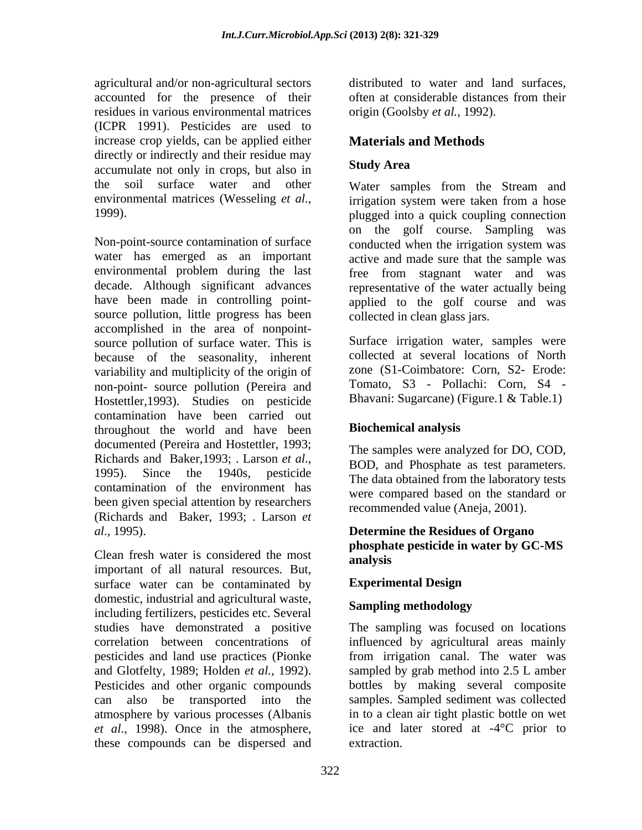agricultural and/or non-agricultural sectors accounted for the presence of their residues in various environmental matrices (ICPR 1991). Pesticides are used to increase crop yields, can be applied either directly or indirectly and their residue may<br>accumulate not only in crops, but also in Study Area accumulate not only in crops, but also in the soil surface water and other Water samples from the Stream and

water has emerged as an important active and made sure that the sample was environmental problem during the last decade. Although significant advances representative of the water actually being have been made in controlling point-<br>applied to the golf course and was source pollution, little progress has been collected in clean glass jars. accomplished in the area of nonpoint-<br>source pollution of surface water This is Surface irrigation water, samples were source pollution of surface water. This is because of the seasonality, inherent variability and multiplicity of the origin of non-point- source pollution (Pereira and Hostettler,1993). Studies on pesticide contamination have been carried out<br>throughout the world and have been **Biochemical analysis** throughout the world and have been documented (Pereira and Hostettler, 1993; Richards and Baker, 1993; . Larson *et al.*, BOD, and Phosphate as test parameters.<br>1995). Since the 1940s, pesticide The data obtained from the laboratory tests contamination of the environment has been given special attention by researchers (Richards and Baker, 1993; . Larson *et* 

Clean fresh water is considered the most<br>important of all natural resources. But, surface water can be contaminated by **Experimental Design** domestic, industrial and agricultural waste,<br> **Sampling methodology** including fertilizers, pesticides etc. Several pesticides and land use practices (Pionke atmosphere by various processes (Albanis *et al*., 1998). Once in the atmosphere, these compounds can be dispersed and

distributed to water and land surfaces, often at considerable distances from their origin (Goolsby *et al.,* 1992).

# **Materials and Methods**

## **Study Area**

environmental matrices (Wesseling *et al.*, irrigation system were taken from a hose<br>
1999).<br>
Non-point-source contamination of surface onducted when the irrigation system was<br>  $\frac{1999}{2}$ irrigation system were taken from a hose plugged into a quick coupling connection on the golf course. Sampling was conducted when the irrigation system was free from stagnant water and was

collected in clean glass jars.<br>Surface irrigation water, samples were collected at several locations of North zone (S1-Coimbatore: Corn, S2- Erode: Tomato, S3 - Pollachi: Corn, S4 - Bhavani: Sugarcane) (Figure.1 & Table.1)

## **Biochemical analysis**

The samples were analyzed for DO, COD, BOD, and Phosphate as test parameters. The data obtained from the laboratory tests were compared based on the standard or recommended value (Aneja, 2001).

### *al.*, 1995).<br>Clean fresh water is considered the most<br>Clean fresh water is considered the most<br>analysis **Determine the Residues of Organo phosphate pesticide in water by GC-MS analysis**

### **Experimental Design**

# **Sampling methodology**

studies have demonstrated a positive The sampling was focused on locations correlation between concentrations of influenced by agricultural areas mainly and Glotfelty, 1989; Holden *et al.*, 1992). Sampled by grab method into 2.5 L amber<br>Pesticides and other organic compounds bottles by making several composite can also be transported into the samples. Sampled sediment was collected from irrigation canal. The water was sampled by grab method into 2.5 L amber bottles by making several composite in to a clean air tight plastic bottle on wet ice and later stored at -4°C prior to extraction.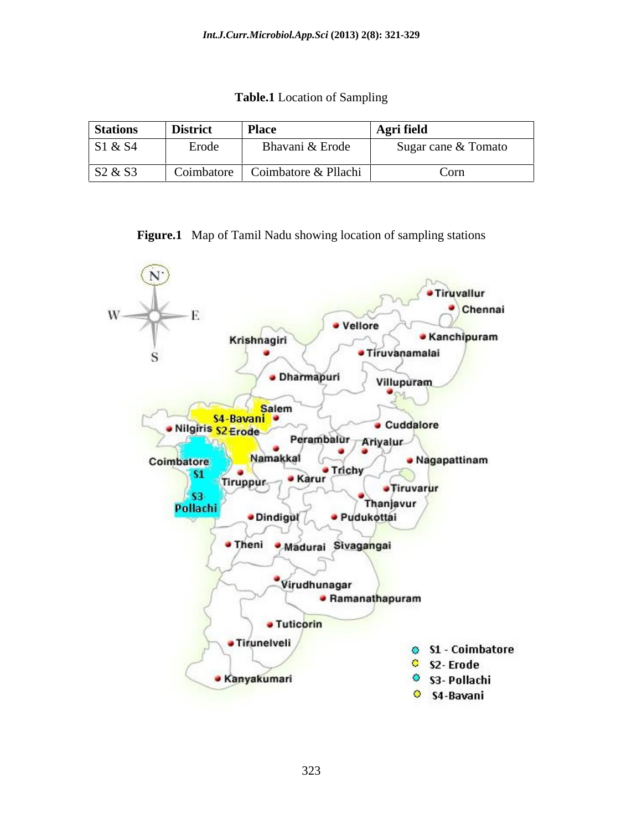**Table.1** Location of Sampling

| <b>Stations</b> | <b>District</b> | <b>Place</b>         | Agri field          |
|-----------------|-----------------|----------------------|---------------------|
| S1 & S4         | Erode           | Bhavani & Erode      | Sugar cane & Tomato |
| S2 & S3         | Coimbatore      | Coimbatore & Pllachi | Corn                |

**Figure.1** Map of Tamil Nadu showing location of sampling stations

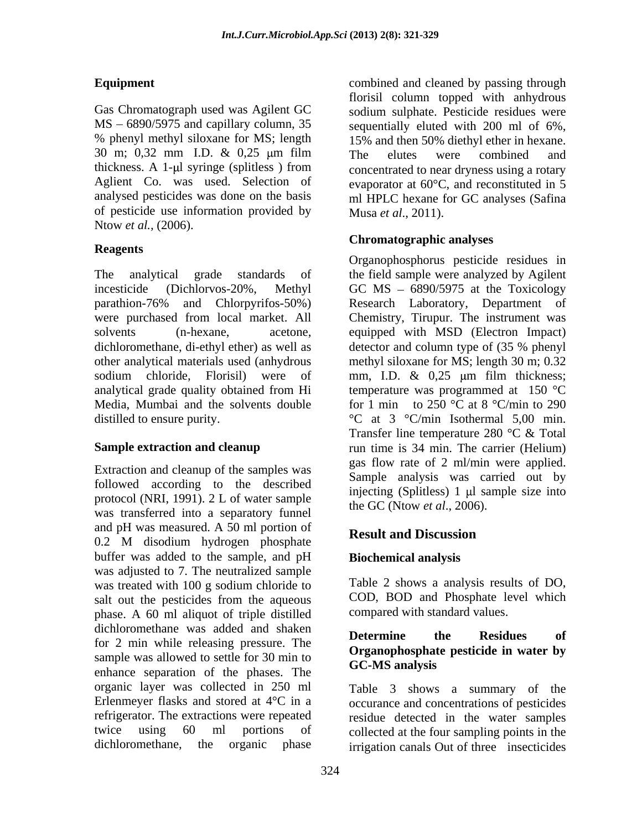$MS - 6890/5975$  and capillary column, 35 30 m;  $0,32$  mm I.D.  $\&$   $0,25$   $\mu$ m film The elutes were combined and thickness. A 1- $\mu$ l syringe (splitless) from of pesticide use information provided by Ntow *et al.,* (2006).

were purchased from local market. All dichloromethane, di-ethyl ether) as well as detector and column type of (35 % phenyl Media, Mumbai and the solvents double

Extraction and cleanup of the samples was followed according to the described protocol (NRI, 1991). 2 L of water sample<br>the GC (Ntow *et al.*, 2006). was transferred into a separatory funnel and pH was measured. A 50 ml portion of **Result and Discussion** 0.2 M disodium hydrogen phosphate **Kesut and Discussion** buffer was added to the sample, and pH was adjusted to 7. The neutralized sample was treated with  $100 \text{ g}$  sodium chloride to salt out the pesticides from the aqueous phase. A 60 ml aliquot of triple distilled dichloromethane was added and shaken<br> **Determine** the Residues of for 2 min while releasing pressure. The sample was allowed to settle for  $30 \text{ min}$  to  $\text{GC-MS}$  analysis enhance separation of the phases. The organic layer was collected in 250 ml Erlenmeyer flasks and stored at 4°C in a refrigerator. The extractions were repeated residue detected in the water samples twice using 60 ml portions of collected at the four sampling points in the

**Equipment** combined and cleaned by passing through Gas Chromatograph used was Agilent GC sodium sulphate. Pesticide residues were % phenyl methyl siloxane for MS; length 15% and then 50% diethyl ether in hexane. Aglient Co. was used. Selection of evaporator at 60°C, and reconstituted in 5 analysed pesticides was done on the basis metal HPLC hexane for GC analyses (Safina florisil column topped with anhydrous sequentially eluted with 200 ml of 6%, The elutes were combined and concentrated to near dryness using a rotary Musa *et al*., 2011).

# **Chromatographic analyses**

**Reagents**  The analytical grade standards of the field sample were analyzed by Agilent incesticide (Dichlorvos-20%, Methyl GC MS 6890/5975 at the Toxicology parathion-76% and Chlorpyrifos-50%) solvents (n-hexane, acetone, equipped with MSD (Electron Impact) other analytical materials used (anhydrous methyl siloxane for MS; length 30 m; 0.32 sodium chloride, Florisil) were of mm, I.D. & 0,25 µm film thickness; analytical grade quality obtained from Hi beta temperature was programmed at  $150 \text{ °C}$ distilled to ensure purity.  $\degree C$  at 3  $\degree C/\text{min}$  Isothermal 5,00 min. **Sample extraction and cleanup** run time is 34 min. The carrier (Helium) Organophosphorus pesticide residues in Research Laboratory, Department of Chemistry, Tirupur. The instrument was detector and column type of (35 % phenyl temperature was programmed at 150 °C for 1 min to 250  $\degree$ C at 8  $\degree$ C/min to 290 Transfer line temperature 280 °C & Total gas flow rate of 2 ml/min were applied. Sample analysis was carried out by injecting (Splitless)  $1 \text{ ul sample size}$  into the GC (Ntow *et al*., 2006).

# **Result and Discussion**

# **Biochemical analysis**

Table 2 shows a analysis results of DO, COD, BOD and Phosphate level which compared with standard values.

### **Determine the Residues of Organophosphate pesticide in water by GC-MS analysis**

dichloromethane, the organic phase irrigation canals Out of three insecticides Table 3 shows a summary of the occurance and concentrations of pesticides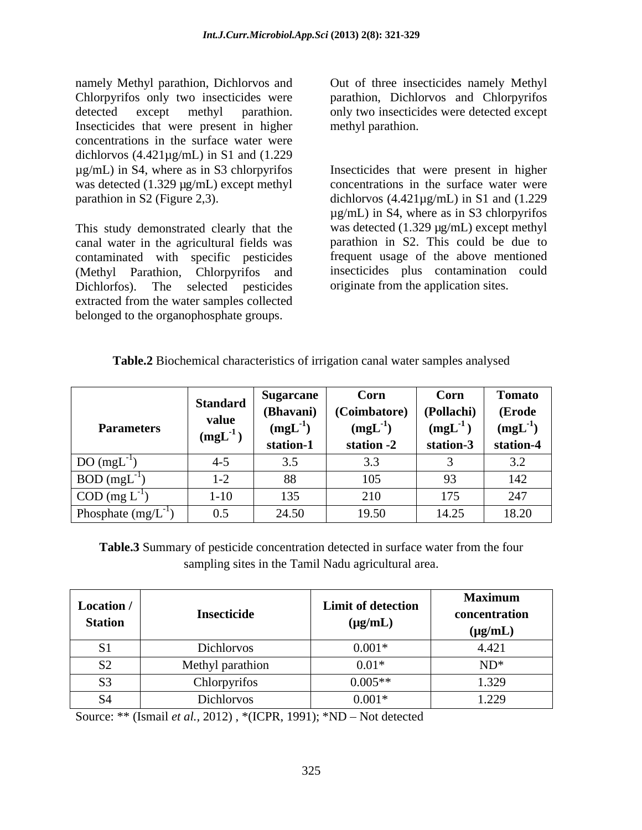namely Methyl parathion, Dichlorvos and Chlorpyrifos only two insecticides were detected except methyl parathion. only two insecticides were detected except Insecticides that were present in higher concentrations in the surface water were dichlorvos (4.421µg/mL) in S1 and (1.229 was detected (1.329  $\mu$ g/mL) except methyl

This study demonstrated clearly that the contaminated with specific pesticides (Methyl Parathion, Chlorpyrifos and Dichlorfos). The selected pesticides extracted from the water samples collected belonged to the organophosphate groups.

Out of three insecticides namely Methyl parathion, Dichlorvos and Chlorpyrifos methyl parathion.

µg/mL) in S4, where as in S3 chlorpyrifos Insecticides that were present in higher parathion in S2 (Figure 2,3). dichlorvos (4.421µg/mL) in S1 and (1.229 canal water in the agricultural fields was parathion in S2. This could be due to concentrations in the surface water were µg/mL) in S4, where as in S3 chlorpyrifos was detected (1.329  $\mu$ g/mL) except methyl frequent usage of the above mentioned insecticides plus contamination could originate from the application sites.

| <b>Table.2</b> Biochemical characteristics of irrigation canal water samples analysed |  |  |
|---------------------------------------------------------------------------------------|--|--|
|---------------------------------------------------------------------------------------|--|--|

|                          | <b>Standard</b> | Sugarcane            | Corn         | Corn         | Tomato          |
|--------------------------|-----------------|----------------------|--------------|--------------|-----------------|
| <b>Parameters</b>        |                 | (Bhavani)            | (Coimbatore) | (Pollachi)   | (Erode          |
|                          | value<br>(mgL)  | $(mgL^{-1})$         | $(mgL^{-1})$ | $(mgL^{-1})$ | $(mgL^{-1})$    |
|                          |                 | station-1            | station -2   | station-3    | station-4       |
| DO(mgL)                  | $4 - 5$         | $\cup \, \cdot \cup$ | ر. ر         |              | $\cup$ . $\sim$ |
| $BOD (mgL-1)$            | $1 - 2$         | 88                   | 105          | 93           | 42              |
| $\text{COD (mg L}^{-1})$ | $1-10$          | 135                  | 210          | 175          | 247             |
| Phosphate (mg/L          | $\cup . \cup$   | 24.50                | 19.50        | 14.25        | 18.20           |

**Table.3** Summary of pesticide concentration detected in surface water from the four sampling sites in the Tamil Nadu agricultural area.

| Location /<br><b>Station</b> | Insecticide      | <b>Limit of detection</b><br>$(\mu g/mL)$ | <b>Maximum</b><br>concentration<br>$(\mu g/mL)$ |
|------------------------------|------------------|-------------------------------------------|-------------------------------------------------|
| $\sim$ 1<br>01               | Dichlorvos       | $0.001*$                                  | 4.421                                           |
| $\mathbf{C}$<br>◡            | Methyl parathion | $0.01*$                                   | $ND^*$                                          |
| $\mathfrak{c}$<br>53         | Chlorpyrifos     | $0.005**$                                 | 1.329                                           |
| <b>S4</b>                    | Dichlorvos       | $0.001*$                                  | 1.229                                           |

Source: \*\* (Ismail *et al.,* 2012), \*(ICPR, 1991); \*ND – Not detected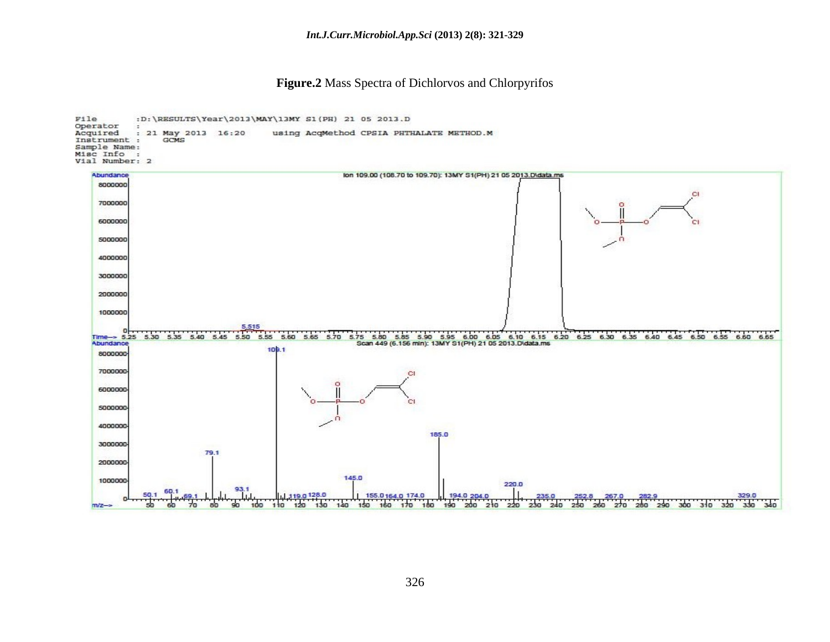**Figure.2** Mass Spectra of Dichlorvos and Chlorpyrifos

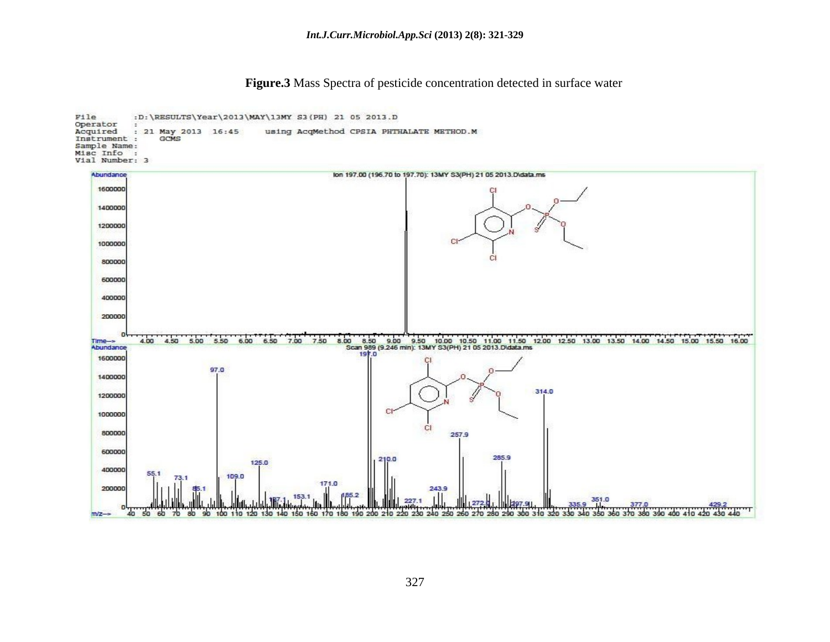**Figure.3** Mass Spectra of pesticide concentration detected in surface water

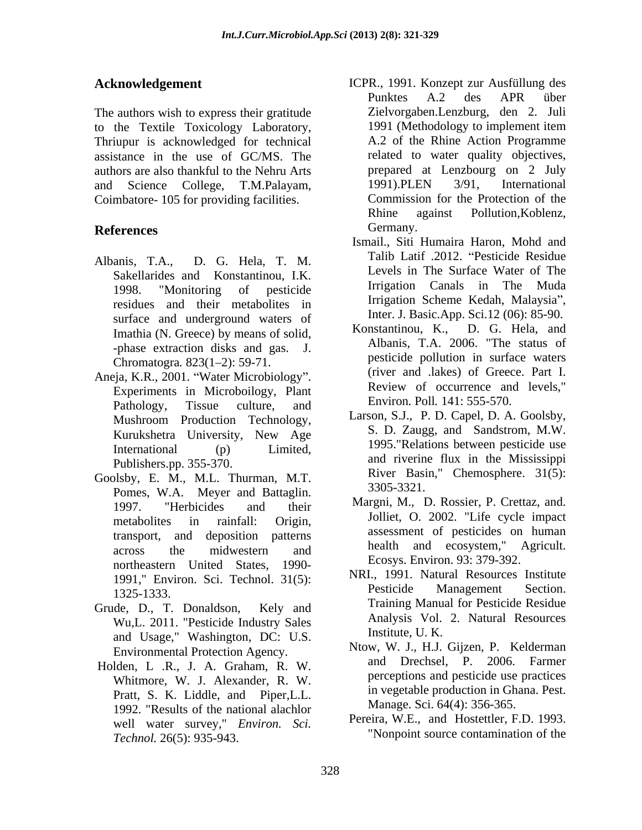The authors wish to express their gratitude to the Textile Toxicology Laboratory, Thriupur is acknowledged for technical assistance in the use of GC/MS. The authors are also thankful to the Nehru Arts<br>
and Science College. T.M.Palayam. 1991).PLEN 3/91, International and Science College, T.M.Palayam, Coimbatore- 105 for providing facilities.

- Albanis, T.A., D. G. Hela, T. M. Sakellarides and Konstantinou, I.K. residues and their metabolites in surface and underground waters of the method. K., D. G. Hela, and International Muslim Ronstantinou, K., D. G. Hela, and Chromatogra. 823(1–2): 59-71.
- Aneja, K.R., 2001. "Water Microbiology". Experiments in Microboilogy, Plant Pathology, Tissue culture, and  $\sum_{n=1}^{\text{ENTOD}} P_n = \sum_{n=1}^{\infty} P_n = \sum_{n=1}^{\infty} P_n$ Mushroom Production Technology, Kurukshetra University, New Age Publishers.pp. 355-370.
- Goolsby, E. M., M.L. Thurman, M.T.  $\begin{array}{c} \text{Kiver } \text{Bas} \\ \text{Demse } \text{W A} \end{array}$  Mover and Batterlin 3305-3321. Pomes, W.A. Meyer and Battaglin. transport, and deposition patterns northeastern United States, 1990-
- Grude, D., T. Donaldson, Kely and Wu,L. 2011. "Pesticide Industry Sales and Usage," Washington, DC: U.S.
- Holden, L .R., J. A. Graham, R. W. Whitmore, W. J. Alexander, R. W. Pratt, S. K. Liddle, and Piper,L.L. 1992. "Results of the national alachlor well water survey," *Environ. Sci. Technol.* 26(5): 935-943.
- **Acknowledgement** ICPR., 1991. Konzept zur Ausfüllung des **References** Germany. Punktes A.2 des APR über Zielvorgaben.Lenzburg, den 2. Juli 1991 (Methodology to implement item A.2 of the Rhine Action Programme related to water quality objectives, prepared at Lenzbourg on 2 July 1991).PLEN 3/91, International Commission for the Protection of the Rhine against Pollution,Koblenz, Germany.
	- 1998. "Monitoring of pesticide Ismail., Siti Humaira Haron, Mohd and Talib Latif .2012. Pesticide Residue Levels in The Surface Water of The Irrigation Canals in The Muda Irrigation Scheme Kedah, Malaysia", Inter. J. Basic.App. Sci.12 (06): 85-90.
	- Imathia (N. Greece) by means of solid,<br>
	-phase extraction disks and gas. J. Albanis, T.A. 2006. "The status of Konstantinou, K., D. G. Hela, and Albanis, T.A. 2006. "The status of pesticide pollution in surface waters (river and .lakes) of Greece. Part I. Review of occurrence and levels," Environ*.* Poll*.* 141: 555-570.
	- International (p) Limited, 1995."Relations between pesticide use Larson, S.J., P. D. Capel, D. A. Goolsby, S. D. Zaugg, and Sandstrom, M.W. and riverine flux in the Mississippi River Basin," Chemosphere. 31(5): 3305-3321.
	- 1997. "Herbicides and their <sup>Margin</sup>, M., D. Rossier, P. Creuaz, and. metabolites in rainfall: Origin, **IOLIELE**, O. 2002. Life cycle impact across the midwestern and health and ecosystem, Agricult. Margni, M., D. Rossier, P. Crettaz, and. Jolliet, O. 2002. "Life cycle impact assessment of pesticides on human health and ecosystem," Agricult. Ecosys. Environ. 93: 379-392.
	- 1991," Environ. Sci. Technol. 31(5):<br>1325–1322 Pesticide Management Section. 1325-1333. Pesucue Management Secuon. NRI., 1991. Natural Resources Institute Pesticide Management Section. Training Manual for Pesticide Residue Analysis Vol. 2. Natural Resources Institute, U. K.
	- Environmental Protection Agency.<br>
	Mow, W. J., H.J. Gigzen, P. Kelderman<br>
	and Drechsel. P. 2006. Farmer Ntow, W. J., H.J. Gijzen, P. Kelderman and Drechsel, P. 2006. Farmer perceptions and pesticide use practices in vegetable production in Ghana. Pest. Manage. Sci. 64(4): 356-365.
		- Pereira, W.E., and Hostettler, F.D. 1993. "Nonpoint source contamination of the